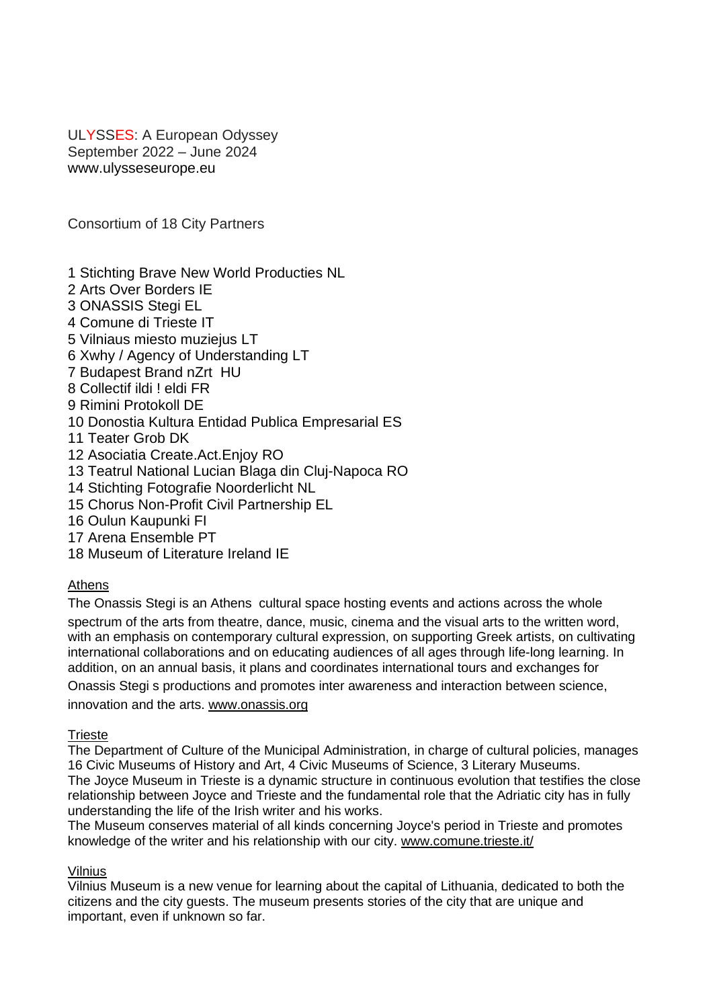ULYSSES: A European Odyssey September 2022 – June 2024 www.ulysseseurope.eu

Consortium of 18 City Partners

- 1 Stichting Brave New World Producties NL
- 2 Arts Over Borders IE
- 3 ONASSIS Stegi EL
- 4 Comune di Trieste IT
- 5 Vilniaus miesto muziejus LT
- 6 Xwhy / Agency of Understanding LT
- 7 Budapest Brand nZrt HU
- 8 Collectif ildi ! eldi FR
- 9 Rimini Protokoll DE
- 10 Donostia Kultura Entidad Publica Empresarial ES
- 11 Teater Grob DK
- 12 Asociatia Create.Act.Enjoy RO
- 13 Teatrul National Lucian Blaga din Cluj-Napoca RO
- 14 Stichting Fotografie Noorderlicht NL
- 15 Chorus Non-Profit Civil Partnership EL
- 16 Oulun Kaupunki FI
- 17 Arena Ensemble PT
- 18 Museum of Literature Ireland IE

#### Athens

The Onassis Stegi is an Athens cultural space hosting events and actions across the whole spectrum of the arts from theatre, dance, music, cinema and the visual arts to the written word, with an emphasis on contemporary cultural expression, on supporting Greek artists, on cultivating international collaborations and on educating audiences of all ages through life-long learning. In addition, on an annual basis, it plans and coordinates international tours and exchanges for

Onassis Stegi s productions and promotes inter awareness and interaction between science,

innovation and the arts. [www.onassis.org](http://www.onassis.org/)

#### **Trieste**

The Department of Culture of the Municipal Administration, in charge of cultural policies, manages 16 Civic Museums of History and Art, 4 Civic Museums of Science, 3 Literary Museums. The Joyce Museum in Trieste is a dynamic structure in continuous evolution that testifies the close relationship between Joyce and Trieste and the fundamental role that the Adriatic city has in fully understanding the life of the Irish writer and his works.

The Museum conserves material of all kinds concerning Joyce's period in Trieste and promotes knowledge of the writer and his relationship with our city. [www.comune.trieste.it/](http://www.comune.trieste.it/)

#### **Vilnius**

Vilnius Museum is a new venue for learning about the capital of Lithuania, dedicated to both the citizens and the city guests. The museum presents stories of the city that are unique and important, even if unknown so far.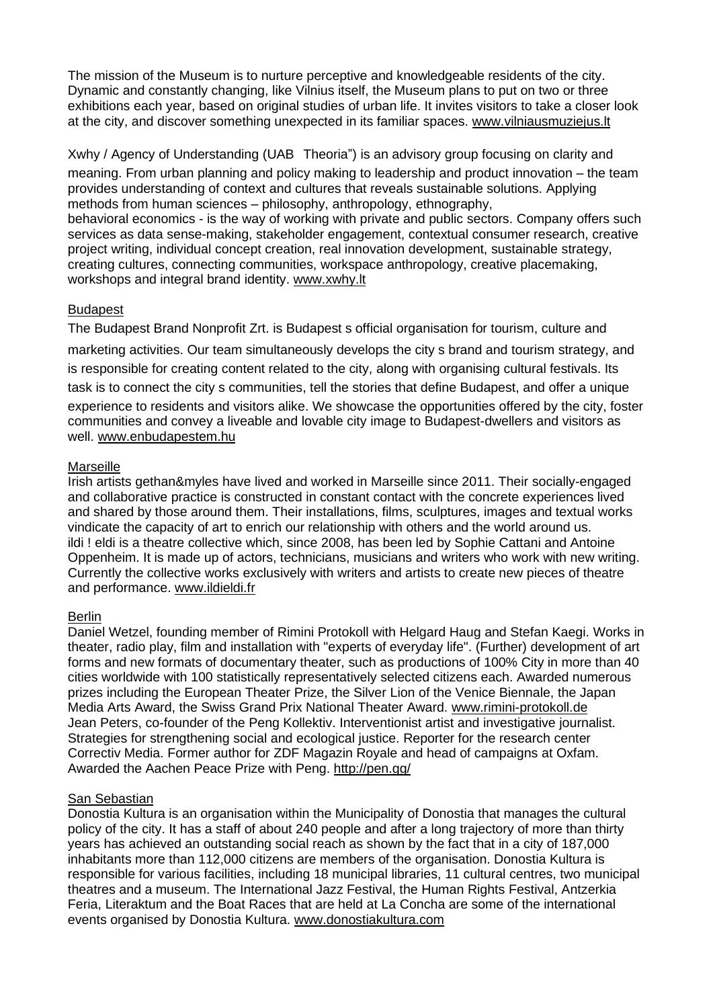The mission of the Museum is to nurture perceptive and knowledgeable residents of the city. Dynamic and constantly changing, like Vilnius itself, the Museum plans to put on two or three exhibitions each year, based on original studies of urban life. It invites visitors to take a closer look at the city, and discover something unexpected in its familiar spaces. [www.vilniausmuziejus.lt](http://www.vilniausmuziejus.lt/)

Xwhy / Agency of Understanding (UAB Theoria") is an advisory group focusing on clarity and meaning. From urban planning and policy making to leadership and product innovation – the team provides understanding of context and cultures that reveals sustainable solutions. Applying methods from human sciences – philosophy, anthropology, ethnography, behavioral economics - is the way of working with private and public sectors. Company offers such services as data sense-making, stakeholder engagement, contextual consumer research, creative project writing, individual concept creation, real innovation development, sustainable strategy, creating cultures, connecting communities, workspace anthropology, creative placemaking, workshops and integral brand identity. [www.xwhy.lt](http://www.xwhy.lt/)

# Budapest

The Budapest Brand Nonprofit Zrt. is Budapest s official organisation for tourism, culture and marketing activities. Our team simultaneously develops the city s brand and tourism strategy, and is responsible for creating content related to the city, along with organising cultural festivals. Its task is to connect the city s communities, tell the stories that define Budapest, and offer a unique experience to residents and visitors alike. We showcase the opportunities offered by the city, foster communities and convey a liveable and lovable city image to Budapest-dwellers and visitors as well. [www.enbudapestem.hu](http://www.enbudapestem.hu/)

# Marseille

Irish artists gethan&myles have lived and worked in Marseille since 2011. Their socially-engaged and collaborative practice is constructed in constant contact with the concrete experiences lived and shared by those around them. Their installations, films, sculptures, images and textual works vindicate the capacity of art to enrich our relationship with others and the world around us. ildi ! eldi is a theatre collective which, since 2008, has been led by Sophie Cattani and Antoine Oppenheim. It is made up of actors, technicians, musicians and writers who work with new writing. Currently the collective works exclusively with writers and artists to create new pieces of theatre and performance. [www.ildieldi.fr](http://www.ildieldi.fr/)

#### Berlin

Daniel Wetzel, founding member of Rimini Protokoll with Helgard Haug and Stefan Kaegi. Works in theater, radio play, film and installation with "experts of everyday life". (Further) development of art forms and new formats of documentary theater, such as productions of 100% City in more than 40 cities worldwide with 100 statistically representatively selected citizens each. Awarded numerous prizes including the European Theater Prize, the Silver Lion of the Venice Biennale, the Japan Media Arts Award, the Swiss Grand Prix National Theater Award. [www.rimini-protokoll.de](http://www.rimini-protokoll.de/) Jean Peters, co-founder of the Peng Kollektiv. Interventionist artist and investigative journalist. Strategies for strengthening social and ecological justice. Reporter for the research center Correctiv Media. Former author for ZDF Magazin Royale and head of campaigns at Oxfam. Awarded the Aachen Peace Prize with Peng. <http://pen.gg/>

# **San Sebastian**

Donostia Kultura is an organisation within the Municipality of Donostia that manages the cultural policy of the city. It has a staff of about 240 people and after a long trajectory of more than thirty years has achieved an outstanding social reach as shown by the fact that in a city of 187,000 inhabitants more than 112,000 citizens are members of the organisation. Donostia Kultura is responsible for various facilities, including 18 municipal libraries, 11 cultural centres, two municipal theatres and a museum. The International Jazz Festival, the Human Rights Festival, Antzerkia Feria, Literaktum and the Boat Races that are held at La Concha are some of the international events organised by Donostia Kultura. [www.donostiakultura.com](http://www.donostiakultura.com/)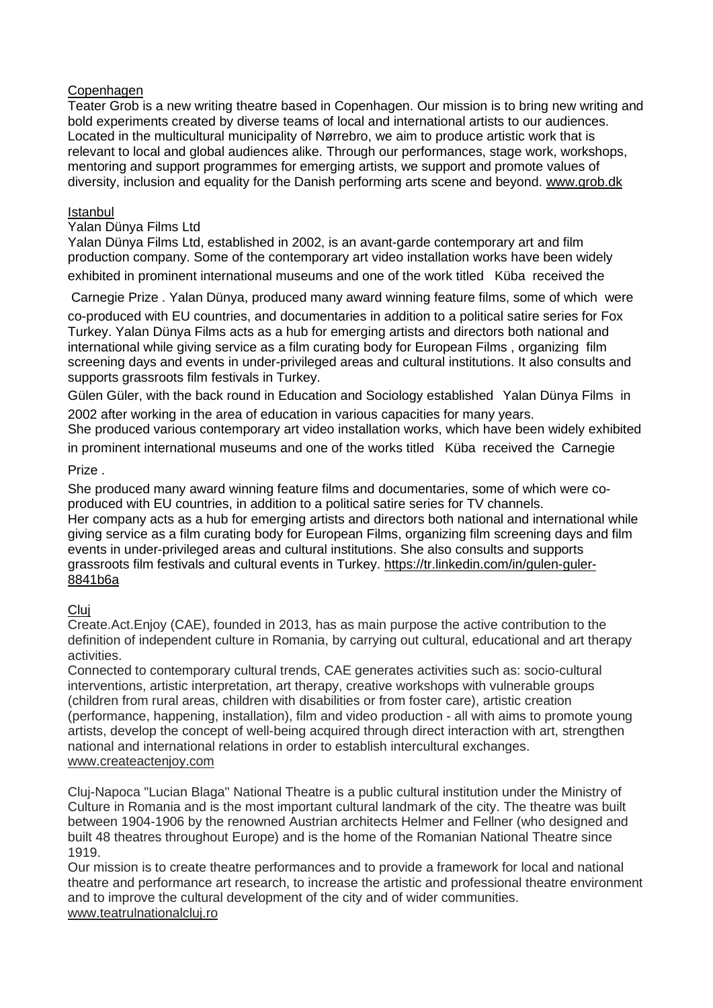### **Copenhagen**

Teater Grob is a new writing theatre based in Copenhagen. Our mission is to bring new writing and bold experiments created by diverse teams of local and international artists to our audiences. Located in the multicultural municipality of Nørrebro, we aim to produce artistic work that is relevant to local and global audiences alike. Through our performances, stage work, workshops, mentoring and support programmes for emerging artists, we support and promote values of diversity, inclusion and equality for the Danish performing arts scene and beyond. [www.grob.dk](http://www.grob.dk/)

### Istanbul

#### Yalan Dünya Films Ltd

Yalan Dünya Films Ltd, established in 2002, is an avant-garde contemporary art and film production company. Some of the contemporary art video installation works have been widely exhibited in prominent international museums and one of the work titled Küba received the

Carnegie Prize . Yalan Dünya, produced many award winning feature films, some of which were

co-produced with EU countries, and documentaries in addition to a political satire series for Fox Turkey. Yalan Dünya Films acts as a hub for emerging artists and directors both national and international while giving service as a film curating body for European Films , organizing film screening days and events in under-privileged areas and cultural institutions. It also consults and supports grassroots film festivals in Turkey.

Gülen Güler, with the back round in Education and Sociology established Yalan Dünya Films in 2002 after working in the area of education in various capacities for many years.

She produced various contemporary art video installation works, which have been widely exhibited in prominent international museums and one of the works titled Küba received the Carnegie

## Prize .

She produced many award winning feature films and documentaries, some of which were coproduced with EU countries, in addition to a political satire series for TV channels. Her company acts as a hub for emerging artists and directors both national and international while giving service as a film curating body for European Films, organizing film screening days and film events in under-privileged areas and cultural institutions. She also consults and supports grassroots film festivals and cultural events in Turkey. [https://tr.linkedin.com/in/gulen-guler-](https://tr.linkedin.com/in/gulen-guler-8841b6a)[8841b6a](https://tr.linkedin.com/in/gulen-guler-8841b6a)

# **Clui**

Create.Act.Enjoy (CAE), founded in 2013, has as main purpose the active contribution to the definition of independent culture in Romania, by carrying out cultural, educational and art therapy activities.

Connected to contemporary cultural trends, CAE generates activities such as: socio-cultural interventions, artistic interpretation, art therapy, creative workshops with vulnerable groups (children from rural areas, children with disabilities or from foster care), artistic creation (performance, happening, installation), film and video production - all with aims to promote young artists, develop the concept of well-being acquired through direct interaction with art, strengthen national and international relations in order to establish intercultural exchanges. [www.createactenjoy.com](http://www.createactenjoy.com/)

Cluj-Napoca "Lucian Blaga" National Theatre is a public cultural institution under the Ministry of Culture in Romania and is the most important cultural landmark of the city. The theatre was built between 1904-1906 by the renowned Austrian architects Helmer and Fellner (who designed and built 48 theatres throughout Europe) and is the home of the Romanian National Theatre since 1919.

Our mission is to create theatre performances and to provide a framework for local and national theatre and performance art research, to increase the artistic and professional theatre environment and to improve the cultural development of the city and of wider communities. [www.teatrulnationalcluj.ro](http://www.teatrulnationalcluj.ro/)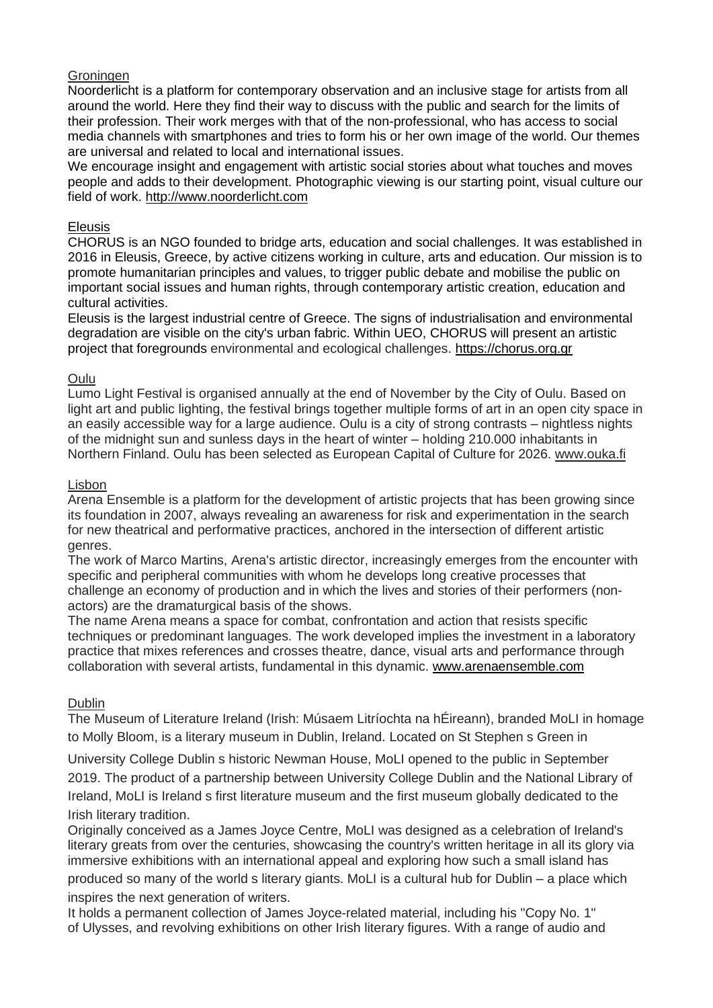### Groningen

Noorderlicht is a platform for contemporary observation and an inclusive stage for artists from all around the world. Here they find their way to discuss with the public and search for the limits of their profession. Their work merges with that of the non-professional, who has access to social media channels with smartphones and tries to form his or her own image of the world. Our themes are universal and related to local and international issues.

We encourage insight and engagement with artistic social stories about what touches and moves people and adds to their development. Photographic viewing is our starting point, visual culture our field of work. [http://www.noorderlicht.com](http://www.noorderlicht.com/)

### Eleusis

CHORUS is an NGO founded to bridge arts, education and social challenges. It was established in 2016 in Eleusis, Greece, by active citizens working in culture, arts and education. Our mission is to promote humanitarian principles and values, to trigger public debate and mobilise the public on important social issues and human rights, through contemporary artistic creation, education and cultural activities.

Eleusis is the largest industrial centre of Greece. The signs of industrialisation and environmental degradation are visible on the city's urban fabric. Within UEO, CHORUS will present an artistic project that foregrounds environmental and ecological challenges. [https://chorus.org.gr](https://chorus.org.gr/)

## Oulu

Lumo Light Festival is organised annually at the end of November by the City of Oulu. Based on light art and public lighting, the festival brings together multiple forms of art in an open city space in an easily accessible way for a large audience. Oulu is a city of strong contrasts – nightless nights of the midnight sun and sunless days in the heart of winter – holding 210.000 inhabitants in Northern Finland. Oulu has been selected as European Capital of Culture for 2026. [www.ouka.fi](http://www.ouka.fi/)

#### Lisbon

Arena Ensemble is a platform for the development of artistic projects that has been growing since its foundation in 2007, always revealing an awareness for risk and experimentation in the search for new theatrical and performative practices, anchored in the intersection of different artistic genres.

The work of Marco Martins, Arena's artistic director, increasingly emerges from the encounter with specific and peripheral communities with whom he develops long creative processes that challenge an economy of production and in which the lives and stories of their performers (nonactors) are the dramaturgical basis of the shows.

The name Arena means a space for combat, confrontation and action that resists specific techniques or predominant languages. The work developed implies the investment in a laboratory practice that mixes references and crosses theatre, dance, visual arts and performance through collaboration with several artists, fundamental in this dynamic. [www.arenaensemble.com](http://www.arenaensemble.com/)

#### Dublin

The Museum of Literature Ireland (Irish: Músaem Litríochta na hÉireann), branded MoLI in homage to Molly Bloom, is a literary museum in Dublin, Ireland. Located on St Stephen s Green in

University College Dublin s historic Newman House, MoLI opened to the public in September 2019. The product of a partnership between University College Dublin and the National Library of Ireland, MoLI is Ireland s first literature museum and the first museum globally dedicated to the Irish literary tradition.

Originally conceived as a James Joyce Centre, MoLI was designed as a celebration of Ireland's literary greats from over the centuries, showcasing the country's written heritage in all its glory via immersive exhibitions with an international appeal and exploring how such a small island has produced so many of the world s literary giants. MoLI is a cultural hub for Dublin – a place which inspires the next generation of writers.

It holds a permanent collection of James Joyce-related material, including his "Copy No. 1" of Ulysses, and revolving exhibitions on other Irish literary figures. With a range of audio and